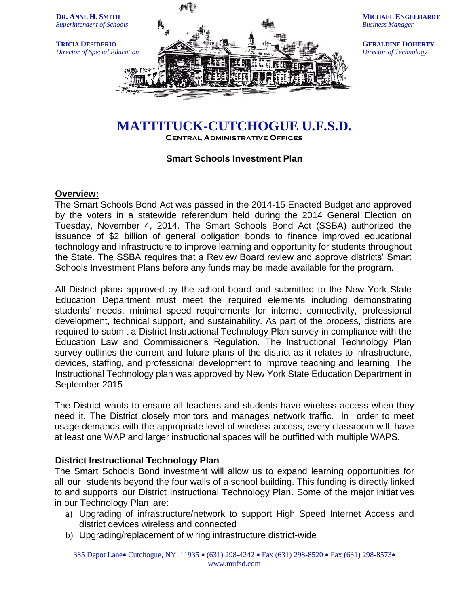

**MICHAEL ENGELHARDT** *Business Manager*

**GERALDINE DOHERTY** *Director of Technology*

# **MATTITUCK-CUTCHOGUE U.F.S.D.**

**Central Administrative Offices**

# **Smart Schools Investment Plan**

## **Overview:**

The Smart Schools Bond Act was passed in the 2014-15 Enacted Budget and approved by the voters in a statewide referendum held during the 2014 General Election on Tuesday, November 4, 2014. The Smart Schools Bond Act (SSBA) authorized the issuance of \$2 billion of general obligation bonds to finance improved educational technology and infrastructure to improve learning and opportunity for students throughout the State. The SSBA requires that a Review Board review and approve districts' Smart Schools Investment Plans before any funds may be made available for the program.

All District plans approved by the school board and submitted to the New York State Education Department must meet the required elements including demonstrating students' needs, minimal speed requirements for internet connectivity, professional development, technical support, and sustainability. As part of the process, districts are required to submit a District Instructional Technology Plan survey in compliance with the Education Law and Commissioner's Regulation. The Instructional Technology Plan survey outlines the current and future plans of the district as it relates to infrastructure, devices, staffing, and professional development to improve teaching and learning. The Instructional Technology plan was approved by New York State Education Department in September 2015

The District wants to ensure all teachers and students have wireless access when they need it. The District closely monitors and manages network traffic. In order to meet usage demands with the appropriate level of wireless access, every classroom will have at least one WAP and larger instructional spaces will be outfitted with multiple WAPS.

## **District Instructional Technology Plan**

The Smart Schools Bond investment will allow us to expand learning opportunities for all our students beyond the four walls of a school building. This funding is directly linked to and supports our District Instructional Technology Plan. Some of the major initiatives in our Technology Plan are:

- a) Upgrading of infrastructure/network to support High Speed Internet Access and district devices wireless and connected
- b) Upgrading/replacement of wiring infrastructure district-wide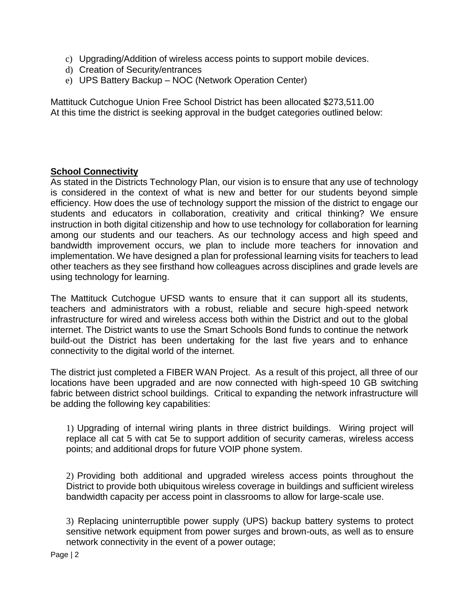- c) Upgrading/Addition of wireless access points to support mobile devices.
- d) Creation of Security/entrances
- e) UPS Battery Backup NOC (Network Operation Center)

Mattituck Cutchogue Union Free School District has been allocated \$273,511.00 At this time the district is seeking approval in the budget categories outlined below:

# **School Connectivity**

As stated in the Districts Technology Plan, our vision is to ensure that any use of technology is considered in the context of what is new and better for our students beyond simple efficiency. How does the use of technology support the mission of the district to engage our students and educators in collaboration, creativity and critical thinking? We ensure instruction in both digital citizenship and how to use technology for collaboration for learning among our students and our teachers. As our technology access and high speed and bandwidth improvement occurs, we plan to include more teachers for innovation and implementation. We have designed a plan for professional learning visits for teachers to lead other teachers as they see firsthand how colleagues across disciplines and grade levels are using technology for learning.

The Mattituck Cutchogue UFSD wants to ensure that it can support all its students, teachers and administrators with a robust, reliable and secure high-speed network infrastructure for wired and wireless access both within the District and out to the global internet. The District wants to use the Smart Schools Bond funds to continue the network build-out the District has been undertaking for the last five years and to enhance connectivity to the digital world of the internet.

The district just completed a FIBER WAN Project. As a result of this project, all three of our locations have been upgraded and are now connected with high-speed 10 GB switching fabric between district school buildings. Critical to expanding the network infrastructure will be adding the following key capabilities:

1) Upgrading of internal wiring plants in three district buildings. Wiring project will replace all cat 5 with cat 5e to support addition of security cameras, wireless access points; and additional drops for future VOIP phone system.

2) Providing both additional and upgraded wireless access points throughout the District to provide both ubiquitous wireless coverage in buildings and sufficient wireless bandwidth capacity per access point in classrooms to allow for large-scale use.

3) Replacing uninterruptible power supply (UPS) backup battery systems to protect sensitive network equipment from power surges and brown-outs, as well as to ensure network connectivity in the event of a power outage;